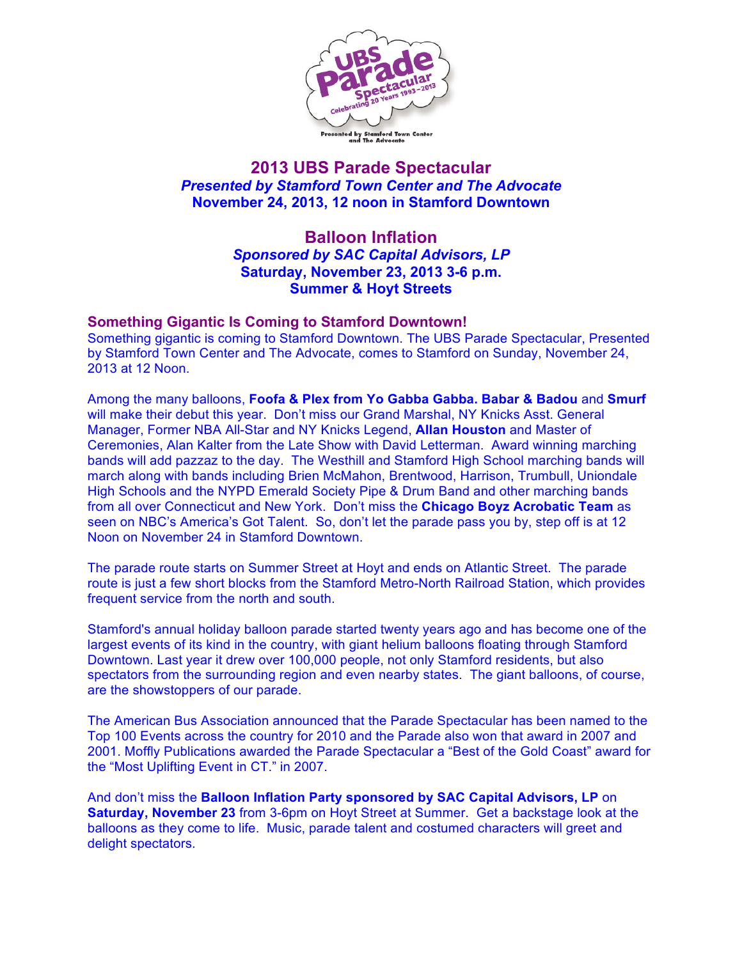

## **2013 UBS Parade Spectacular** *Presented by Stamford Town Center and The Advocate* **November 24, 2013, 12 noon in Stamford Downtown**

## **Balloon Inflation** *Sponsored by SAC Capital Advisors, LP* **Saturday, November 23, 2013 3-6 p.m. Summer & Hoyt Streets**

## **Something Gigantic Is Coming to Stamford Downtown!**

Something gigantic is coming to Stamford Downtown. The UBS Parade Spectacular, Presented by Stamford Town Center and The Advocate, comes to Stamford on Sunday, November 24, 2013 at 12 Noon.

Among the many balloons, **Foofa & Plex from Yo Gabba Gabba. Babar & Badou** and **Smurf** will make their debut this year. Don't miss our Grand Marshal, NY Knicks Asst. General Manager, Former NBA All-Star and NY Knicks Legend, **Allan Houston** and Master of Ceremonies, Alan Kalter from the Late Show with David Letterman. Award winning marching bands will add pazzaz to the day. The Westhill and Stamford High School marching bands will march along with bands including Brien McMahon, Brentwood, Harrison, Trumbull, Uniondale High Schools and the NYPD Emerald Society Pipe & Drum Band and other marching bands from all over Connecticut and New York. Don't miss the **Chicago Boyz Acrobatic Team** as seen on NBC's America's Got Talent. So, don't let the parade pass you by, step off is at 12 Noon on November 24 in Stamford Downtown.

The parade route starts on Summer Street at Hoyt and ends on Atlantic Street. The parade route is just a few short blocks from the Stamford Metro-North Railroad Station, which provides frequent service from the north and south.

Stamford's annual holiday balloon parade started twenty years ago and has become one of the largest events of its kind in the country, with giant helium balloons floating through Stamford Downtown. Last year it drew over 100,000 people, not only Stamford residents, but also spectators from the surrounding region and even nearby states. The giant balloons, of course, are the showstoppers of our parade.

The American Bus Association announced that the Parade Spectacular has been named to the Top 100 Events across the country for 2010 and the Parade also won that award in 2007 and 2001. Moffly Publications awarded the Parade Spectacular a "Best of the Gold Coast" award for the "Most Uplifting Event in CT." in 2007.

And don't miss the **Balloon Inflation Party sponsored by SAC Capital Advisors, LP** on **Saturday, November 23** from 3-6pm on Hoyt Street at Summer. Get a backstage look at the balloons as they come to life. Music, parade talent and costumed characters will greet and delight spectators.